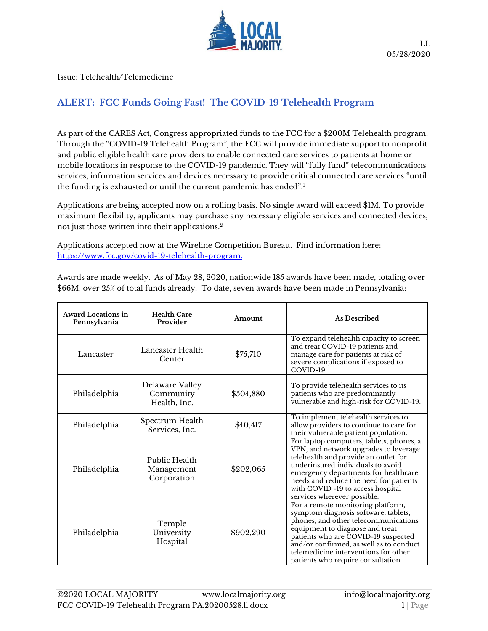

Issue: Telehealth/Telemedicine

## **ALERT: FCC Funds Going Fast! The COVID-19 Telehealth Program**

As part of the CARES Act, Congress appropriated funds to the FCC for a \$200M Telehealth program. Through the "COVID-19 Telehealth Program", the FCC will provide immediate support to nonprofit and public eligible health care providers to enable connected care services to patients at home or mobile locations in response to the COVID-19 pandemic. They will "fully fund" telecommunications services, information services and devices necessary to provide critical connected care services "until the funding is exhausted or until the current pandemic has ended". 1

Applications are being accepted now on a rolling basis. No single award will exceed \$1M. To provide maximum flexibility, applicants may purchase any necessary eligible services and connected devices, not just those written into their applications.<sup>2</sup>

Applications accepted now at the Wireline Competition Bureau. Find information here: [https://www.fcc.gov/covid-19-telehealth-program.](https://www.fcc.gov/covid-19-telehealth-program)

Awards are made weekly. As of May 28, 2020, nationwide 185 awards have been made, totaling over \$66M, over 25% of total funds already. To date, seven awards have been made in Pennsylvania:

| <b>Award Locations in</b><br>Pennsylvania | <b>Health Care</b><br>Provider               | Amount    | <b>As Described</b>                                                                                                                                                                                                                                                                                                  |
|-------------------------------------------|----------------------------------------------|-----------|----------------------------------------------------------------------------------------------------------------------------------------------------------------------------------------------------------------------------------------------------------------------------------------------------------------------|
| Lancaster                                 | Lancaster Health<br>Center                   | \$75,710  | To expand telehealth capacity to screen<br>and treat COVID-19 patients and<br>manage care for patients at risk of<br>severe complications if exposed to<br>COVID-19.                                                                                                                                                 |
| Philadelphia                              | Delaware Valley<br>Community<br>Health, Inc. | \$504,880 | To provide telehealth services to its<br>patients who are predominantly<br>vulnerable and high-risk for COVID-19.                                                                                                                                                                                                    |
| Philadelphia                              | Spectrum Health<br>Services, Inc.            | \$40,417  | To implement telehealth services to<br>allow providers to continue to care for<br>their vulnerable patient population.                                                                                                                                                                                               |
| Philadelphia                              | Public Health<br>Management<br>Corporation   | \$202,065 | For laptop computers, tablets, phones, a<br>VPN, and network upgrades to leverage<br>telehealth and provide an outlet for<br>underinsured individuals to avoid<br>emergency departments for healthcare<br>needs and reduce the need for patients<br>with COVID -19 to access hospital<br>services wherever possible. |
| Philadelphia                              | Temple<br>University<br>Hospital             | \$902,290 | For a remote monitoring platform,<br>symptom diagnosis software, tablets,<br>phones, and other telecommunications<br>equipment to diagnose and treat<br>patients who are COVID-19 suspected<br>and/or confirmed, as well as to conduct<br>telemedicine interventions for other<br>patients who require consultation. |